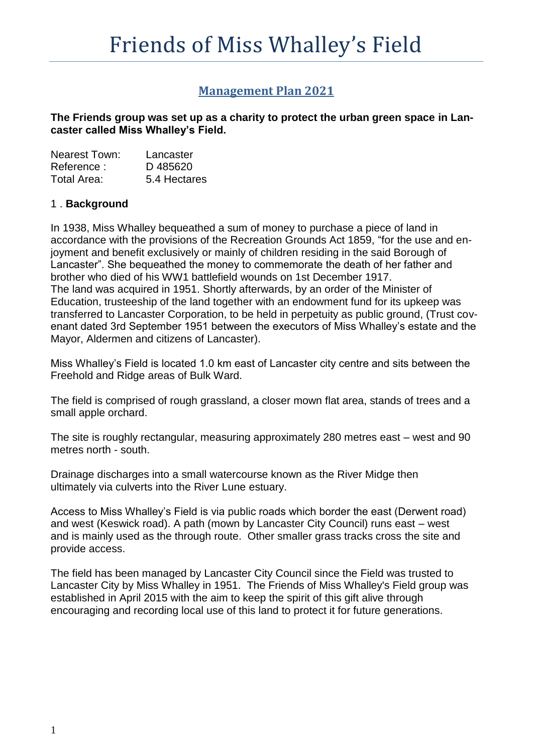# **Management Plan 2021**

**The Friends group was set up as a charity to protect the urban green space in Lancaster called Miss Whalley's Field.**

| <b>Nearest Town:</b> | Lancaster    |
|----------------------|--------------|
| Reference:           | D485620      |
| Total Area:          | 5.4 Hectares |

## 1 . **Background**

In 1938, Miss Whalley bequeathed a sum of money to purchase a piece of land in accordance with the provisions of the Recreation Grounds Act 1859, "for the use and enjoyment and benefit exclusively or mainly of children residing in the said Borough of Lancaster". She bequeathed the money to commemorate the death of her father and brother who died of his WW1 battlefield wounds on 1st December 1917. The land was acquired in 1951. Shortly afterwards, by an order of the Minister of Education, trusteeship of the land together with an endowment fund for its upkeep was transferred to Lancaster Corporation, to be held in perpetuity as public ground, (Trust covenant dated 3rd September 1951 between the executors of Miss Whalley's estate and the Mayor, Aldermen and citizens of Lancaster).

Miss Whalley's Field is located 1.0 km east of Lancaster city centre and sits between the Freehold and Ridge areas of Bulk Ward.

The field is comprised of rough grassland, a closer mown flat area, stands of trees and a small apple orchard.

The site is roughly rectangular, measuring approximately 280 metres east – west and 90 metres north - south.

Drainage discharges into a small watercourse known as the River Midge then ultimately via culverts into the River Lune estuary.

Access to Miss Whalley's Field is via public roads which border the east (Derwent road) and west (Keswick road). A path (mown by Lancaster City Council) runs east – west and is mainly used as the through route. Other smaller grass tracks cross the site and provide access.

The field has been managed by Lancaster City Council since the Field was trusted to Lancaster City by Miss Whalley in 1951. The Friends of Miss Whalley's Field group was established in April 2015 with the aim to keep the spirit of this gift alive through encouraging and recording local use of this land to protect it for future generations.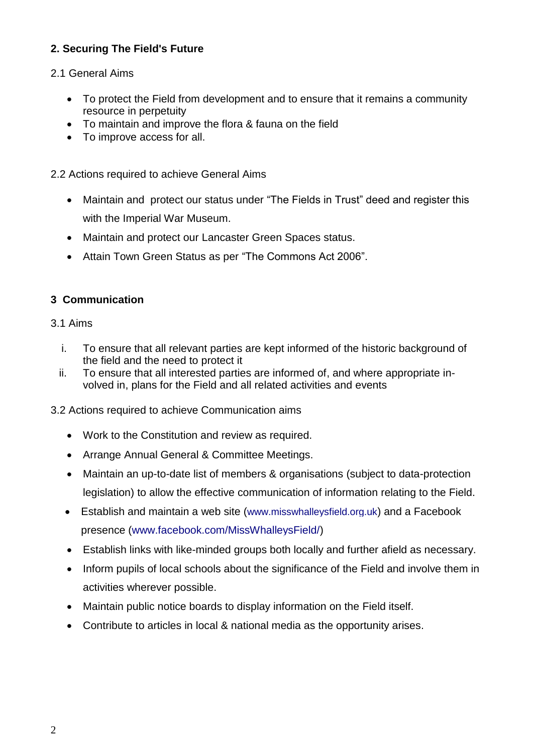# **2. Securing The Field's Future**

## 2.1 General Aims

- To protect the Field from development and to ensure that it remains a community resource in perpetuity
- To maintain and improve the flora & fauna on the field
- To improve access for all.

2.2 Actions required to achieve General Aims

- Maintain and protect our status under "The Fields in Trust" deed and register this with the Imperial War Museum.
- Maintain and protect our Lancaster Green Spaces status.
- Attain Town Green Status as per "The Commons Act 2006".

# **3 Communication**

#### 3.1 Aims

- i. To ensure that all relevant parties are kept informed of the historic background of the field and the need to protect it
- ii. To ensure that all interested parties are informed of, and where appropriate involved in, plans for the Field and all related activities and events
- 3.2 Actions required to achieve Communication aims
	- Work to the Constitution and review as required.
	- Arrange Annual General & Committee Meetings.
	- Maintain an up-to-date list of members & organisations (subject to data-protection legislation) to allow the effective communication of information relating to the Field.
	- Establish and maintain a web site ([www.misswhalleysfield.org.uk](http://www.friendsofmisswhalleysfield.org.uk/)) and a Facebook presence [\(www.facebook.com/MissWhalleysField/\)](http://www.facebook.com/MissWhalleysField/)
	- Establish links with like-minded groups both locally and further afield as necessary.
	- Inform pupils of local schools about the significance of the Field and involve them in activities wherever possible.
	- Maintain public notice boards to display information on the Field itself.
	- Contribute to articles in local & national media as the opportunity arises.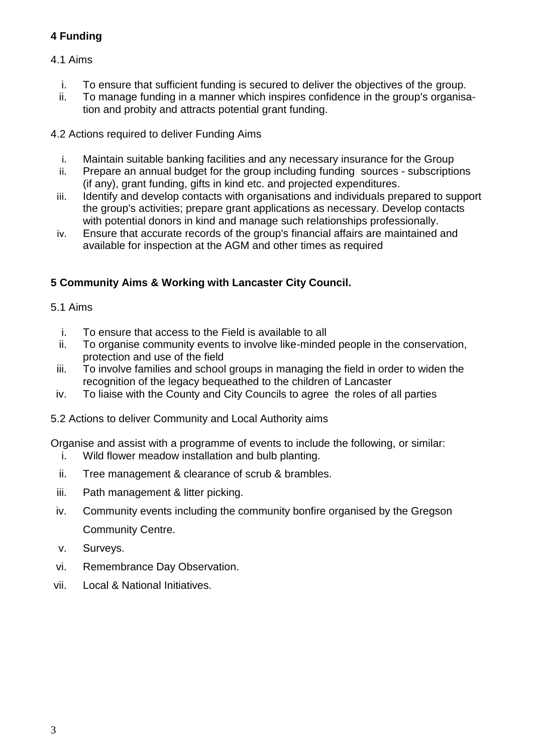# **4 Funding**

## 4.1 Aims

- i. To ensure that sufficient funding is secured to deliver the objectives of the group.
- ii. To manage funding in a manner which inspires confidence in the group's organisation and probity and attracts potential grant funding.

4.2 Actions required to deliver Funding Aims

- i. Maintain suitable banking facilities and any necessary insurance for the Group
- ii. Prepare an annual budget for the group including funding sources subscriptions (if any), grant funding, gifts in kind etc. and projected expenditures.
- iii. Identify and develop contacts with organisations and individuals prepared to support the group's activities; prepare grant applications as necessary. Develop contacts with potential donors in kind and manage such relationships professionally.
- iv. Ensure that accurate records of the group's financial affairs are maintained and available for inspection at the AGM and other times as required

# **5 Community Aims & Working with Lancaster City Council.**

## 5.1 Aims

- i. To ensure that access to the Field is available to all
- ii. To organise community events to involve like-minded people in the conservation, protection and use of the field
- iii. To involve families and school groups in managing the field in order to widen the recognition of the legacy bequeathed to the children of Lancaster
- iv. To liaise with the County and City Councils to agree the roles of all parties
- 5.2 Actions to deliver Community and Local Authority aims

Organise and assist with a programme of events to include the following, or similar:

- i. Wild flower meadow installation and bulb planting.
- ii. Tree management & clearance of scrub & brambles.
- iii. Path management & litter picking.
- iv. Community events including the community bonfire organised by the Gregson Community Centre.
- v. Surveys.
- vi. Remembrance Day Observation.
- vii. Local & National Initiatives.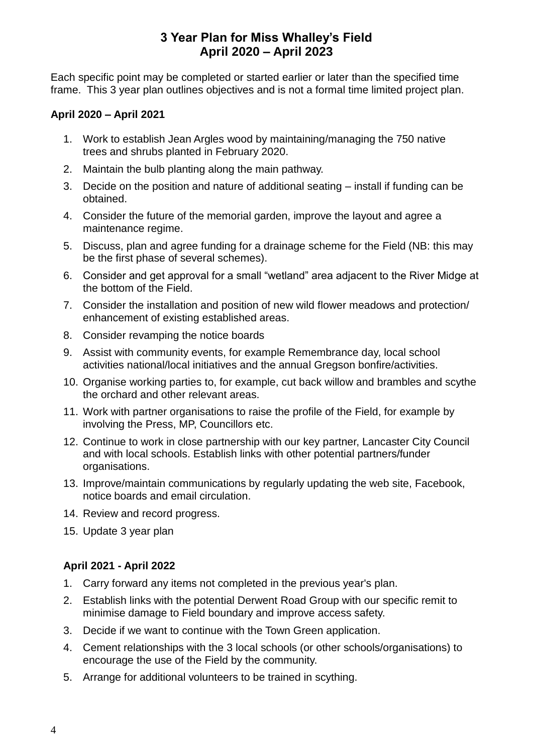# **3 Year Plan for Miss Whalley's Field April 2020 – April 2023**

Each specific point may be completed or started earlier or later than the specified time frame. This 3 year plan outlines objectives and is not a formal time limited project plan.

#### **April 2020 – April 2021**

- 1. Work to establish Jean Argles wood by maintaining/managing the 750 native trees and shrubs planted in February 2020.
- 2. Maintain the bulb planting along the main pathway.
- 3. Decide on the position and nature of additional seating install if funding can be obtained.
- 4. Consider the future of the memorial garden, improve the layout and agree a maintenance regime.
- 5. Discuss, plan and agree funding for a drainage scheme for the Field (NB: this may be the first phase of several schemes).
- 6. Consider and get approval for a small "wetland" area adjacent to the River Midge at the bottom of the Field.
- 7. Consider the installation and position of new wild flower meadows and protection/ enhancement of existing established areas.
- 8. Consider revamping the notice boards
- 9. Assist with community events, for example Remembrance day, local school activities national/local initiatives and the annual Gregson bonfire/activities.
- 10. Organise working parties to, for example, cut back willow and brambles and scythe the orchard and other relevant areas.
- 11. Work with partner organisations to raise the profile of the Field, for example by involving the Press, MP, Councillors etc.
- 12. Continue to work in close partnership with our key partner, Lancaster City Council and with local schools. Establish links with other potential partners/funder organisations.
- 13. Improve/maintain communications by regularly updating the web site, Facebook, notice boards and email circulation.
- 14. Review and record progress.
- 15. Update 3 year plan

# **April 2021 - April 2022**

- 1. Carry forward any items not completed in the previous year's plan.
- 2. Establish links with the potential Derwent Road Group with our specific remit to minimise damage to Field boundary and improve access safety.
- 3. Decide if we want to continue with the Town Green application.
- 4. Cement relationships with the 3 local schools (or other schools/organisations) to encourage the use of the Field by the community.
- 5. Arrange for additional volunteers to be trained in scything.